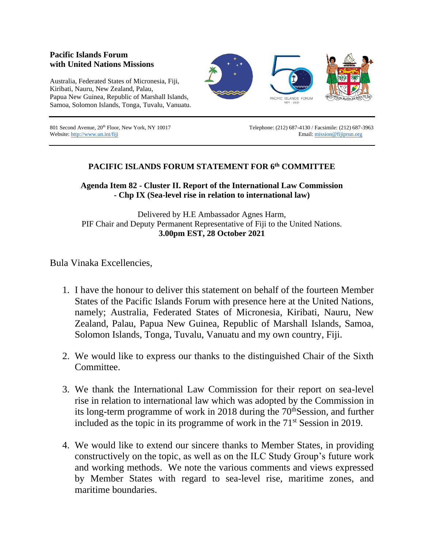## **Pacific Islands Forum with United Nations Missions**

Australia, Federated States of Micronesia, Fiji, Kiribati, Nauru, New Zealand, Palau, Papua New Guinea, Republic of Marshall Islands, Samoa, Solomon Islands, Tonga, Tuvalu, Vanuatu.



Website[: http://www.un.int/fiji](http://www.un.int/fiji) email[: mission@fijiprun.org](mailto:mission@fijiprun.org) Email: mission@fijiprun.org

801 Second Avenue, 20<sup>th</sup> Floor, New York, NY 10017 Telephone: (212) 687-4130 / Facsimile: (212) 687-3963

## **PACIFIC ISLANDS FORUM STATEMENT FOR 6th COMMITTEE**

**Agenda Item 82 - Cluster II. Report of the International Law Commission - Chp IX (Sea-level rise in relation to international law)**

Delivered by H.E Ambassador Agnes Harm, PIF Chair and Deputy Permanent Representative of Fiji to the United Nations. **3.00pm EST, 28 October 2021**

Bula Vinaka Excellencies,

- 1. I have the honour to deliver this statement on behalf of the fourteen Member States of the Pacific Islands Forum with presence here at the United Nations, namely; Australia, Federated States of Micronesia, Kiribati, Nauru, New Zealand, Palau, Papua New Guinea, Republic of Marshall Islands, Samoa, Solomon Islands, Tonga, Tuvalu, Vanuatu and my own country, Fiji.
- 2. We would like to express our thanks to the distinguished Chair of the Sixth **Committee**
- 3. We thank the International Law Commission for their report on sea-level rise in relation to international law which was adopted by the Commission in its long-term programme of work in 2018 during the  $70<sup>th</sup>$ Session, and further included as the topic in its programme of work in the 71<sup>st</sup> Session in 2019.
- 4. We would like to extend our sincere thanks to Member States, in providing constructively on the topic, as well as on the ILC Study Group's future work and working methods. We note the various comments and views expressed by Member States with regard to sea-level rise, maritime zones, and maritime boundaries.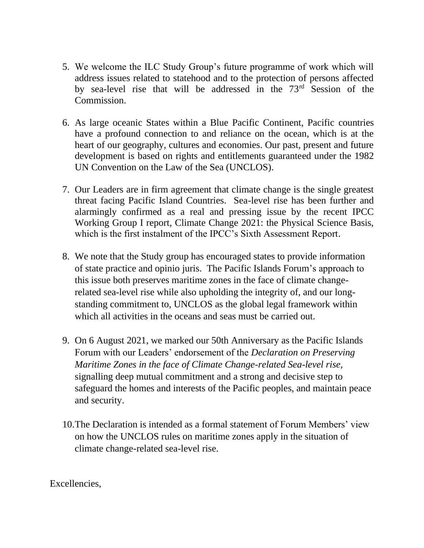- 5. We welcome the ILC Study Group's future programme of work which will address issues related to statehood and to the protection of persons affected by sea-level rise that will be addressed in the 73rd Session of the Commission.
- 6. As large oceanic States within a Blue Pacific Continent, Pacific countries have a profound connection to and reliance on the ocean, which is at the heart of our geography, cultures and economies. Our past, present and future development is based on rights and entitlements guaranteed under the 1982 UN Convention on the Law of the Sea (UNCLOS).
- 7. Our Leaders are in firm agreement that climate change is the single greatest threat facing Pacific Island Countries. Sea-level rise has been further and alarmingly confirmed as a real and pressing issue by the recent IPCC Working Group I report, Climate Change 2021: the Physical Science Basis, which is the first instalment of the IPCC's Sixth Assessment Report.
- 8. We note that the Study group has encouraged states to provide information of state practice and opinio juris. The Pacific Islands Forum's approach to this issue both preserves maritime zones in the face of climate changerelated sea-level rise while also upholding the integrity of, and our longstanding commitment to, UNCLOS as the global legal framework within which all activities in the oceans and seas must be carried out.
- 9. On 6 August 2021, we marked our 50th Anniversary as the Pacific Islands Forum with our Leaders' endorsement of the *Declaration on Preserving Maritime Zones in the face of Climate Change-related Sea-level rise*, signalling deep mutual commitment and a strong and decisive step to safeguard the homes and interests of the Pacific peoples, and maintain peace and security.
- 10.The Declaration is intended as a formal statement of Forum Members' view on how the UNCLOS rules on maritime zones apply in the situation of climate change-related sea-level rise.

Excellencies,